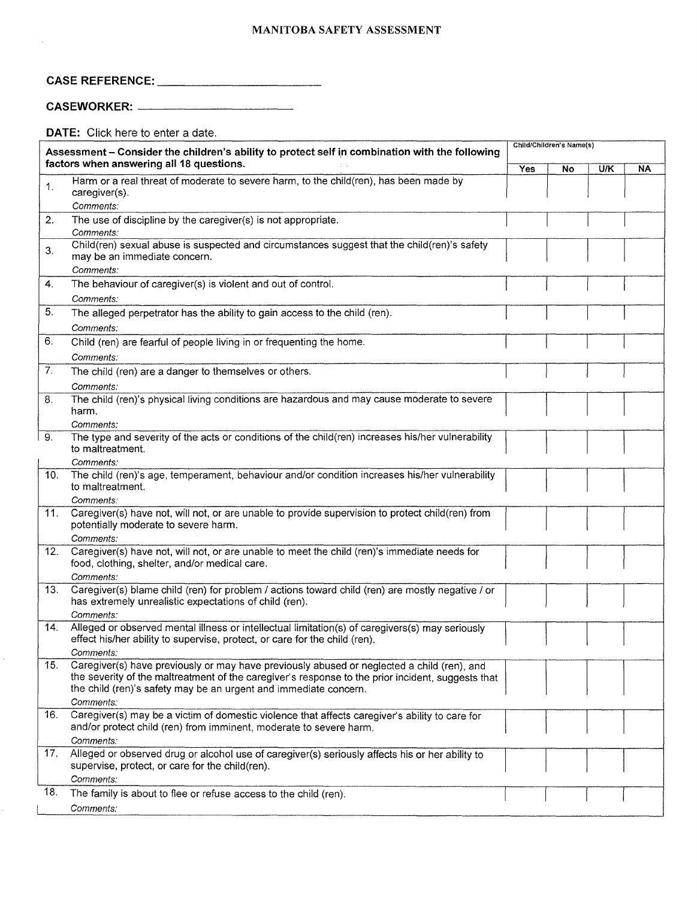#### MANITOBA SAFETY ASSESSMENT

# CASE REFERENCE: \_

## CASEWORKER: \_

 $\hat{r}$ 

 $\hat{\mathcal{E}}$ 

 $\hat{\vec{r}}$ 

DATE: Click here to enter a date.

| Assessment - Consider the children's ability to protect self in combination with the following<br>factors when answering all 18 questions. |                                                                                                                                          | Child/Children's Name(s) |    |     |    |  |
|--------------------------------------------------------------------------------------------------------------------------------------------|------------------------------------------------------------------------------------------------------------------------------------------|--------------------------|----|-----|----|--|
|                                                                                                                                            |                                                                                                                                          | Yes                      | No | U/K | NA |  |
| $\mathbf{1}$ .                                                                                                                             | Harm or a real threat of moderate to severe harm, to the child(ren), has been made by                                                    |                          |    |     |    |  |
|                                                                                                                                            | caregiver(s).                                                                                                                            |                          |    |     |    |  |
|                                                                                                                                            | Comments:                                                                                                                                |                          |    |     |    |  |
| 2.                                                                                                                                         | The use of discipline by the caregiver(s) is not appropriate.<br>Comments:                                                               |                          |    |     |    |  |
|                                                                                                                                            | Child(ren) sexual abuse is suspected and circumstances suggest that the child(ren)'s safety                                              |                          |    |     |    |  |
| 3.                                                                                                                                         | may be an immediate concern.                                                                                                             |                          |    |     |    |  |
|                                                                                                                                            | Comments:                                                                                                                                |                          |    |     |    |  |
| 4.                                                                                                                                         | The behaviour of caregiver(s) is violent and out of control.                                                                             |                          |    |     |    |  |
|                                                                                                                                            | Comments:                                                                                                                                |                          |    |     |    |  |
| 5.                                                                                                                                         | The alleged perpetrator has the ability to gain access to the child (ren).                                                               |                          |    |     |    |  |
|                                                                                                                                            | Comments:                                                                                                                                |                          |    |     |    |  |
| 6.                                                                                                                                         | Child (ren) are fearful of people living in or frequenting the home.                                                                     |                          |    |     |    |  |
|                                                                                                                                            | Comments:                                                                                                                                |                          |    |     |    |  |
| 7.                                                                                                                                         | The child (ren) are a danger to themselves or others.                                                                                    |                          |    |     |    |  |
|                                                                                                                                            | Comments:                                                                                                                                |                          |    |     |    |  |
| 8.                                                                                                                                         | The child (ren)'s physical living conditions are hazardous and may cause moderate to severe                                              |                          |    |     |    |  |
|                                                                                                                                            | harm.                                                                                                                                    |                          |    |     |    |  |
|                                                                                                                                            | Comments:                                                                                                                                |                          |    |     |    |  |
| 9.                                                                                                                                         | The type and severity of the acts or conditions of the child(ren) increases his/her vulnerability<br>to maltreatment.                    |                          |    |     |    |  |
|                                                                                                                                            | Comments:                                                                                                                                |                          |    |     |    |  |
| 10.                                                                                                                                        | The child (ren)'s age, temperament, behaviour and/or condition increases his/her vulnerability                                           |                          |    |     |    |  |
|                                                                                                                                            | to maltreatment.                                                                                                                         |                          |    |     |    |  |
|                                                                                                                                            | Comments:                                                                                                                                |                          |    |     |    |  |
| 11.                                                                                                                                        | Caregiver(s) have not, will not, or are unable to provide supervision to protect child(ren) from<br>potentially moderate to severe harm. |                          |    |     |    |  |
|                                                                                                                                            | Comments:                                                                                                                                |                          |    |     |    |  |
| 12.                                                                                                                                        | Caregiver(s) have not, will not, or are unable to meet the child (ren)'s immediate needs for                                             |                          |    |     |    |  |
|                                                                                                                                            | food, clothing, shelter, and/or medical care.                                                                                            |                          |    |     |    |  |
|                                                                                                                                            | Comments:                                                                                                                                |                          |    |     |    |  |
| 13.                                                                                                                                        | Caregiver(s) blame child (ren) for problem / actions toward child (ren) are mostly negative / or                                         |                          |    |     |    |  |
|                                                                                                                                            | has extremely unrealistic expectations of child (ren).<br>Comments:                                                                      |                          |    |     |    |  |
| 14.                                                                                                                                        | Alleged or observed mental illness or intellectual limitation(s) of caregivers(s) may seriously                                          |                          |    |     |    |  |
|                                                                                                                                            | effect his/her ability to supervise, protect, or care for the child (ren).                                                               |                          |    |     |    |  |
|                                                                                                                                            | <i>Comments:</i>                                                                                                                         |                          |    |     |    |  |
| 15.                                                                                                                                        | Caregiver(s) have previously or may have previously abused or neglected a child (ren), and                                               |                          |    |     |    |  |
|                                                                                                                                            | the severity of the maltreatment of the caregiver's response to the prior incident, suggests that                                        |                          |    |     |    |  |
|                                                                                                                                            | the child (ren)'s safety may be an urgent and immediate concern.<br>Comments:                                                            |                          |    |     |    |  |
| 16.                                                                                                                                        | Caregiver(s) may be a victim of domestic violence that affects caregiver's ability to care for                                           |                          |    |     |    |  |
|                                                                                                                                            | and/or protect child (ren) from imminent, moderate to severe harm.                                                                       |                          |    |     |    |  |
|                                                                                                                                            | Comments:                                                                                                                                |                          |    |     |    |  |
| 17.                                                                                                                                        | Alleged or observed drug or alcohol use of caregiver(s) seriously affects his or her ability to                                          |                          |    |     |    |  |
|                                                                                                                                            | supervise, protect, or care for the child(ren).                                                                                          |                          |    |     |    |  |
|                                                                                                                                            | Comments:                                                                                                                                |                          |    |     |    |  |
| 18.                                                                                                                                        | The family is about to flee or refuse access to the child (ren).                                                                         |                          |    |     |    |  |
|                                                                                                                                            | Comments:                                                                                                                                |                          |    |     |    |  |